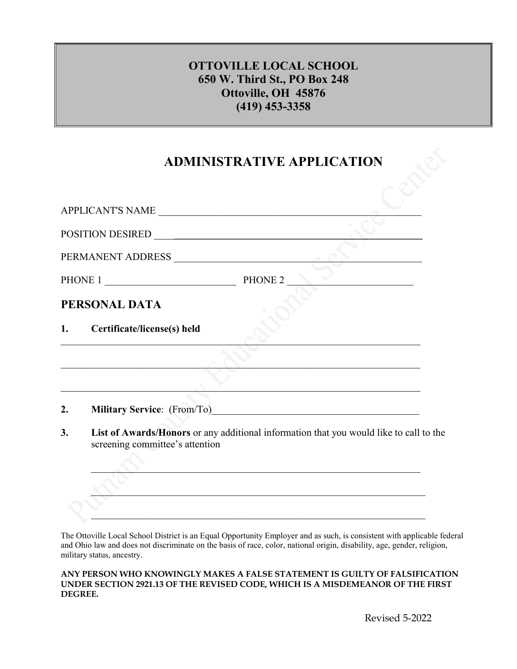## **OTTOVILLE LOCAL SCHOOL 650 W. Third St., PO Box 248 Ottoville, OH 45876 (419) 453-3358**

## **ADMINISTRATIVE APPLICATION**

|         | APPLICANT'S NAME                |                                                                                           |
|---------|---------------------------------|-------------------------------------------------------------------------------------------|
|         |                                 |                                                                                           |
|         | PERMANENT ADDRESS               |                                                                                           |
| PHONE 1 |                                 | PHONE 2                                                                                   |
|         | PERSONAL DATA                   |                                                                                           |
| 1.      | Certificate/license(s) held     |                                                                                           |
|         |                                 | the control of the control of the control of the control of the control of the control of |
|         |                                 |                                                                                           |
| 2.      |                                 |                                                                                           |
| 3.      | screening committee's attention | List of Awards/Honors or any additional information that you would like to call to the    |
|         |                                 |                                                                                           |
|         |                                 |                                                                                           |
|         |                                 |                                                                                           |

The Ottoville Local School District is an Equal Opportunity Employer and as such, is consistent with applicable federal and Ohio law and does not discriminate on the basis of race, color, national origin, disability, age, gender, religion, military status, ancestry.

**ANY PERSON WHO KNOWINGLY MAKES A FALSE STATEMENT IS GUILTY OF FALSIFICATION UNDER SECTION 2921.13 OF THE REVISED CODE, WHICH IS A MISDEMEANOR OF THE FIRST DEGREE.**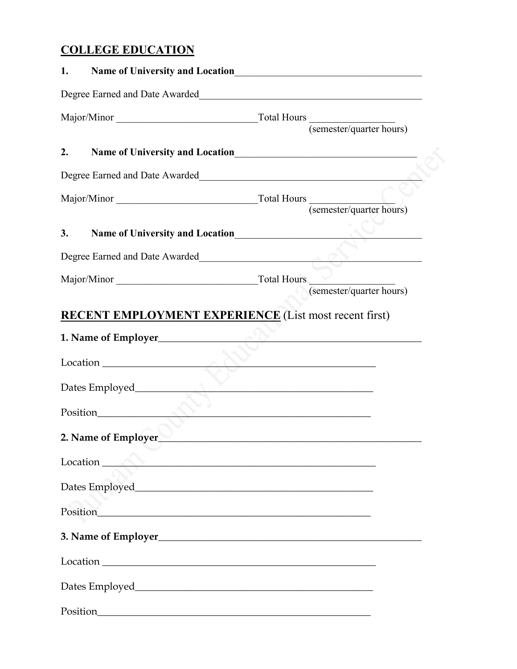## **COLLEGE EDUCATION**

| 1. |                                                                                                                                                                                                                                      |                                                                                                                       |  |
|----|--------------------------------------------------------------------------------------------------------------------------------------------------------------------------------------------------------------------------------------|-----------------------------------------------------------------------------------------------------------------------|--|
|    | Degree Earned and Date Awarded<br><u>Legree Earned and Date Awarded</u>                                                                                                                                                              |                                                                                                                       |  |
|    |                                                                                                                                                                                                                                      |                                                                                                                       |  |
| 2. |                                                                                                                                                                                                                                      |                                                                                                                       |  |
|    | Degree Earned and Date Awarded                                                                                                                                                                                                       |                                                                                                                       |  |
|    |                                                                                                                                                                                                                                      |                                                                                                                       |  |
| 3. | Name of University and Location                                                                                                                                                                                                      |                                                                                                                       |  |
|    | Degree Earned and Date Awarded Manuel Alexander and Date Awarded                                                                                                                                                                     |                                                                                                                       |  |
|    |                                                                                                                                                                                                                                      |                                                                                                                       |  |
|    | <b>RECENT EMPLOYMENT EXPERIENCE</b> (List most recent first)                                                                                                                                                                         |                                                                                                                       |  |
|    |                                                                                                                                                                                                                                      |                                                                                                                       |  |
|    |                                                                                                                                                                                                                                      |                                                                                                                       |  |
|    | Dates Employed                                                                                                                                                                                                                       | <u> 1989 - Johann Harry Harry Harry Harry Harry Harry Harry Harry Harry Harry Harry Harry Harry Harry Harry Harry</u> |  |
|    |                                                                                                                                                                                                                                      |                                                                                                                       |  |
|    | 2. Name of Employer                                                                                                                                                                                                                  |                                                                                                                       |  |
|    | Location <u>Andreas and American and American and American and American and American and American and American and American and American and American and American and American and American and American and American and Ameri</u> |                                                                                                                       |  |
|    |                                                                                                                                                                                                                                      |                                                                                                                       |  |
|    |                                                                                                                                                                                                                                      |                                                                                                                       |  |
|    |                                                                                                                                                                                                                                      |                                                                                                                       |  |
|    |                                                                                                                                                                                                                                      |                                                                                                                       |  |
|    |                                                                                                                                                                                                                                      |                                                                                                                       |  |
|    |                                                                                                                                                                                                                                      |                                                                                                                       |  |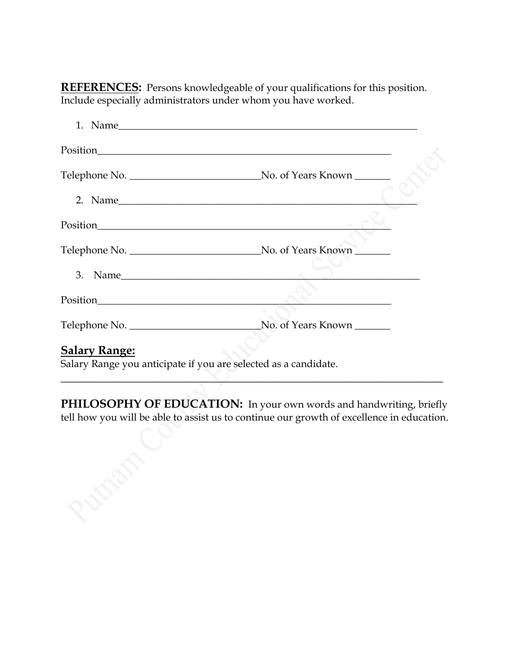**REFERENCES:** Persons knowledgeable of your qualifications for this position. Include especially administrators under whom you have worked.

| <b>Salary Range:</b><br>$C1$ and $D2$ are a second interest of $C2$ and $C3$ and $A4$ are second interest. |  |
|------------------------------------------------------------------------------------------------------------|--|

Salary Range you anticipate if you are selected as a candidate.

PHILOSOPHY OF EDUCATION: In your own words and handwriting, briefly tell how you will be able to assist us to continue our growth of excellence in education.

\_\_\_\_\_\_\_\_\_\_\_\_\_\_\_\_\_\_\_\_\_\_\_\_\_\_\_\_\_\_\_\_\_\_\_\_\_\_\_\_\_\_\_\_\_\_\_\_\_\_\_\_\_\_\_\_\_\_\_\_\_\_\_\_